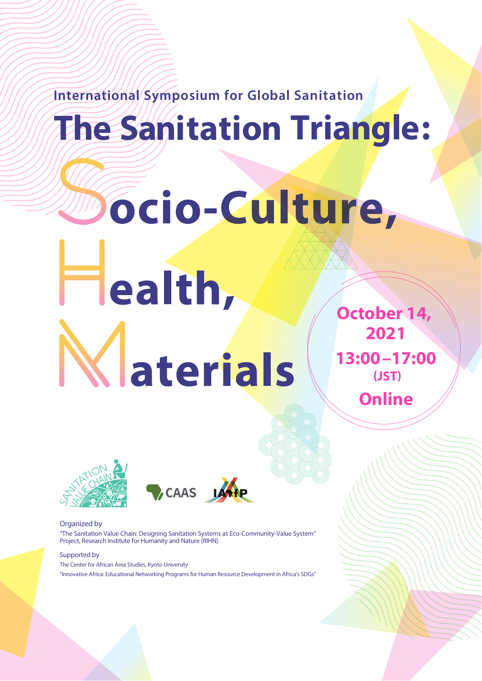**International Symposium for Global Sanitation**

# **The Sanitation Triangle:**

# ocio-Culture, **Health, Klaterials**

**October 14, 2021 13:00–17:00 (JST) Online**





Organized by "The Sanitation Value Chain: Designing Sanitation Systems as Eco-Community-Value System" Project, Research Institute for Humanity and Nature (RIHN)

#### Supported by

The Center for African Area Studies, Kyoto University "Innovative Africa: Educational Networking Programs for Human Resource Development in Africa's SDGs"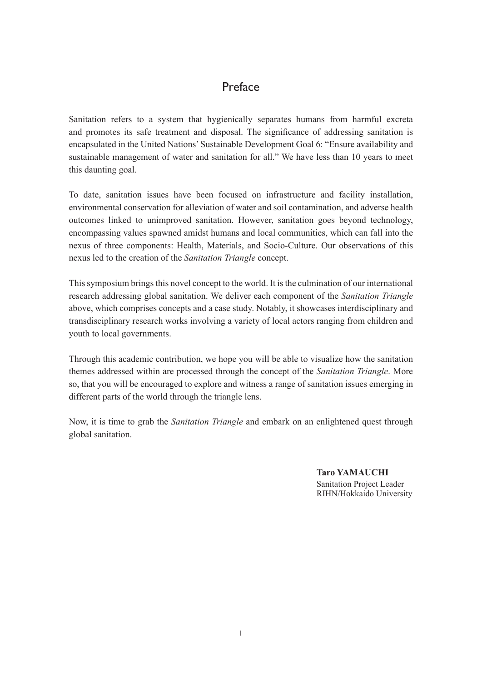### Preface

Sanitation refers to a system that hygienically separates humans from harmful excreta and promotes its safe treatment and disposal. The significance of addressing sanitation is encapsulated in the United Nations' Sustainable Development Goal 6: "Ensure availability and sustainable management of water and sanitation for all." We have less than 10 years to meet this daunting goal.

To date, sanitation issues have been focused on infrastructure and facility installation, environmental conservation for alleviation of water and soil contamination, and adverse health outcomes linked to unimproved sanitation. However, sanitation goes beyond technology, encompassing values spawned amidst humans and local communities, which can fall into the nexus of three components: Health, Materials, and Socio-Culture. Our observations of this nexus led to the creation of the *Sanitation Triangle* concept.

This symposium brings this novel concept to the world. It is the culmination of our international research addressing global sanitation. We deliver each component of the *Sanitation Triangle*  above, which comprises concepts and a case study. Notably, it showcases interdisciplinary and transdisciplinary research works involving a variety of local actors ranging from children and youth to local governments.

Through this academic contribution, we hope you will be able to visualize how the sanitation themes addressed within are processed through the concept of the *Sanitation Triangle*. More so, that you will be encouraged to explore and witness a range of sanitation issues emerging in different parts of the world through the triangle lens.

Now, it is time to grab the *Sanitation Triangle* and embark on an enlightened quest through global sanitation.

> **Taro YAMAUCHI** Sanitation Project Leader RIHN/Hokkaido University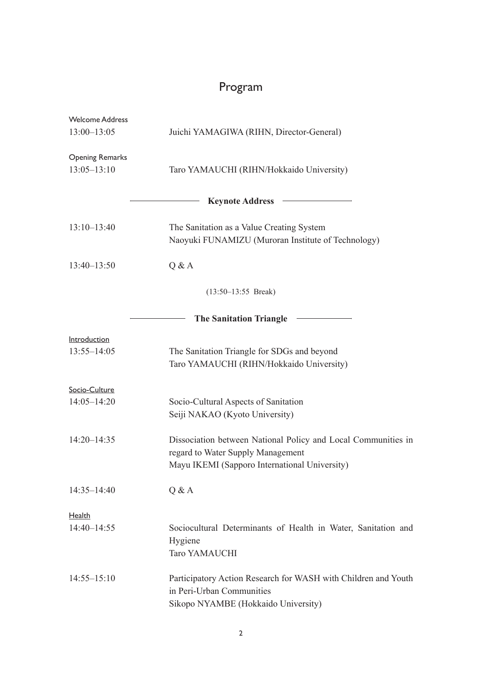# Program

| <b>Welcome Address</b> |                                                                                                 |
|------------------------|-------------------------------------------------------------------------------------------------|
| $13:00 - 13:05$        | Juichi YAMAGIWA (RIHN, Director-General)                                                        |
| <b>Opening Remarks</b> |                                                                                                 |
| $13:05 - 13:10$        | Taro YAMAUCHI (RIHN/Hokkaido University)                                                        |
|                        | <b>Keynote Address</b>                                                                          |
| $13:10-13:40$          | The Sanitation as a Value Creating System<br>Naoyuki FUNAMIZU (Muroran Institute of Technology) |
| $13:40 - 13:50$        | Q & A                                                                                           |
|                        | $(13:50-13:55$ Break)                                                                           |
|                        | <b>The Sanitation Triangle</b>                                                                  |
| Introduction           |                                                                                                 |
| $13:55 - 14:05$        | The Sanitation Triangle for SDGs and beyond<br>Taro YAMAUCHI (RIHN/Hokkaido University)         |
| Socio-Culture          |                                                                                                 |
| $14:05 - 14:20$        | Socio-Cultural Aspects of Sanitation                                                            |
|                        | Seiji NAKAO (Kyoto University)                                                                  |
| $14:20 - 14:35$        | Dissociation between National Policy and Local Communities in                                   |
|                        | regard to Water Supply Management                                                               |
|                        | Mayu IKEMI (Sapporo International University)                                                   |
| $14:35 - 14:40$        | Q & A                                                                                           |
| Health                 |                                                                                                 |
| 14:40-14:55            | Sociocultural Determinants of Health in Water, Sanitation and                                   |
|                        | Hygiene                                                                                         |
|                        | Taro YAMAUCHI                                                                                   |
| $14:55 - 15:10$        | Participatory Action Research for WASH with Children and Youth                                  |
|                        | in Peri-Urban Communities                                                                       |
|                        | Sikopo NYAMBE (Hokkaido University)                                                             |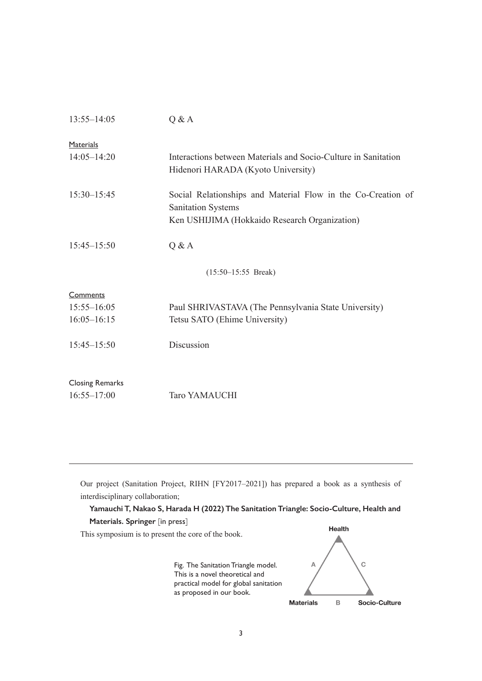| $13:55 - 14:05$        | Q & A                                                                                                |
|------------------------|------------------------------------------------------------------------------------------------------|
| Materials              |                                                                                                      |
| $14:05 - 14:20$        | Interactions between Materials and Socio-Culture in Sanitation<br>Hidenori HARADA (Kyoto University) |
| $15:30 - 15:45$        | Social Relationships and Material Flow in the Co-Creation of<br><b>Sanitation Systems</b>            |
|                        | Ken USHIJIMA (Hokkaido Research Organization)                                                        |
| $15:45 - 15:50$        | Q & A                                                                                                |
|                        | $(15:50-15:55$ Break)                                                                                |
| Comments               |                                                                                                      |
| $15:55 - 16:05$        | Paul SHRIVASTAVA (The Pennsylvania State University)                                                 |
| $16:05 - 16:15$        | Tetsu SATO (Ehime University)                                                                        |
| $15:45 - 15:50$        | Discussion                                                                                           |
| <b>Closing Remarks</b> |                                                                                                      |
| $16:55 - 17:00$        | Taro YAMAUCHI                                                                                        |
|                        |                                                                                                      |

Our project (Sanitation Project, RIHN [FY2017–2021]) has prepared a book as a synthesis of interdisciplinary collaboration;

#### **Yamauchi T, Nakao S, Harada H (2022) The Sanitation Triangle: Socio-Culture, Health and Materials. Springer** [in press]

This symposium is to present the core of the book.

Fig. The Sanitation Triangle model. This is a novel theoretical and practical model for global sanitation as proposed in our book.

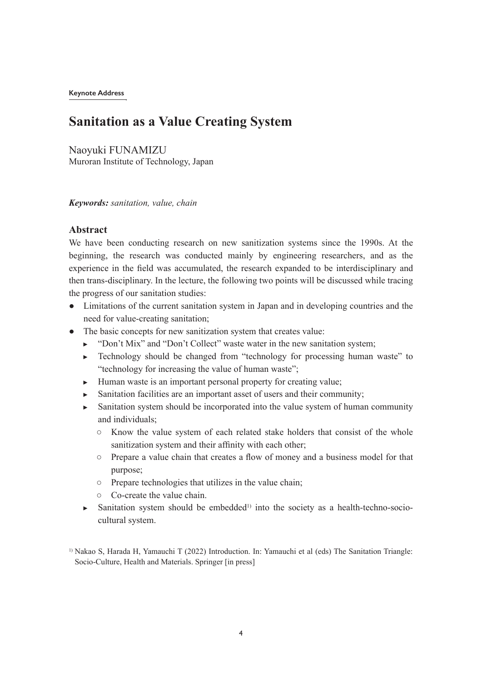**Keynote Address**

# **Sanitation as a Value Creating System**

Naoyuki FUNAMIZU Muroran Institute of Technology, Japan

#### *Keywords: sanitation, value, chain*

#### **Abstract**

We have been conducting research on new sanitization systems since the 1990s. At the beginning, the research was conducted mainly by engineering researchers, and as the experience in the field was accumulated, the research expanded to be interdisciplinary and then trans-disciplinary. In the lecture, the following two points will be discussed while tracing the progress of our sanitation studies:

- Limitations of the current sanitation system in Japan and in developing countries and the need for value-creating sanitation;
- The basic concepts for new sanitization system that creates value:
	- ► "Don't Mix" and "Don't Collect" waste water in the new sanitation system;
	- ► Technology should be changed from "technology for processing human waste" to "technology for increasing the value of human waste";
	- ► Human waste is an important personal property for creating value;
	- $\blacktriangleright$  Sanitation facilities are an important asset of users and their community;
	- ► Sanitation system should be incorporated into the value system of human community and individuals;
		- Know the value system of each related stake holders that consist of the whole sanitization system and their affinity with each other;
		- Prepare a value chain that creates a flow of money and a business model for that purpose;
		- Prepare technologies that utilizes in the value chain;
		- Co-create the value chain.
	- ► Sanitation system should be embedded<sup>1)</sup> into the society as a health-techno-sociocultural system.
- 1) Nakao S, Harada H, Yamauchi T (2022) Introduction. In: Yamauchi et al (eds) The Sanitation Triangle: Socio-Culture, Health and Materials. Springer [in press]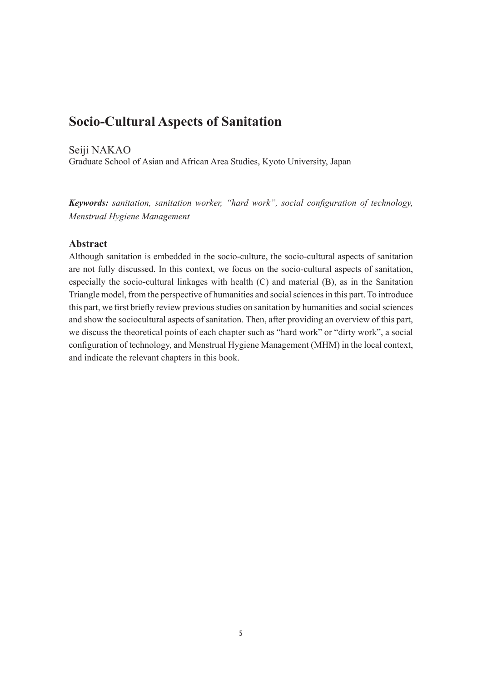## **Socio-Cultural Aspects of Sanitation**

Seiji NAKAO

Graduate School of Asian and African Area Studies, Kyoto University, Japan

*Keywords: sanitation, sanitation worker, "hard work", social configuration of technology, Menstrual Hygiene Management*

#### **Abstract**

Although sanitation is embedded in the socio-culture, the socio-cultural aspects of sanitation are not fully discussed. In this context, we focus on the socio-cultural aspects of sanitation, especially the socio-cultural linkages with health (C) and material (B), as in the Sanitation Triangle model, from the perspective of humanities and social sciences in this part. To introduce this part, we first briefly review previous studies on sanitation by humanities and social sciences and show the sociocultural aspects of sanitation. Then, after providing an overview of this part, we discuss the theoretical points of each chapter such as "hard work" or "dirty work", a social configuration of technology, and Menstrual Hygiene Management (MHM) in the local context, and indicate the relevant chapters in this book.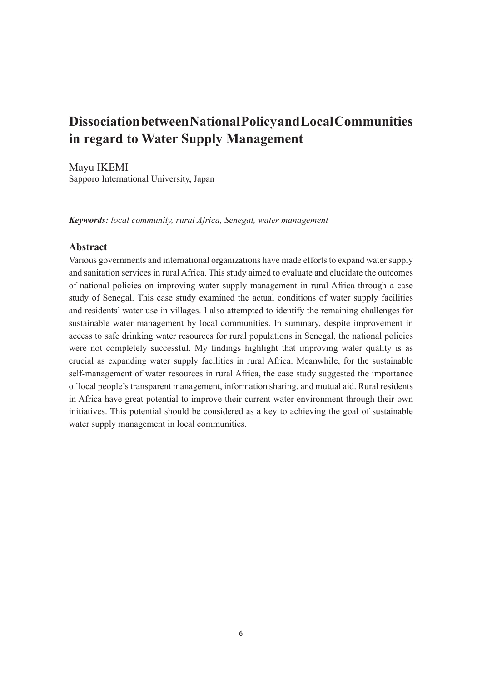# **Dissociation between National Policy and Local Communities in regard to Water Supply Management**

Mayu IKEMI Sapporo International University, Japan

*Keywords: local community, rural Africa, Senegal, water management*

#### **Abstract**

Various governments and international organizations have made efforts to expand water supply and sanitation services in rural Africa. This study aimed to evaluate and elucidate the outcomes of national policies on improving water supply management in rural Africa through a case study of Senegal. This case study examined the actual conditions of water supply facilities and residents' water use in villages. I also attempted to identify the remaining challenges for sustainable water management by local communities. In summary, despite improvement in access to safe drinking water resources for rural populations in Senegal, the national policies were not completely successful. My findings highlight that improving water quality is as crucial as expanding water supply facilities in rural Africa. Meanwhile, for the sustainable self-management of water resources in rural Africa, the case study suggested the importance of local people's transparent management, information sharing, and mutual aid. Rural residents in Africa have great potential to improve their current water environment through their own initiatives. This potential should be considered as a key to achieving the goal of sustainable water supply management in local communities.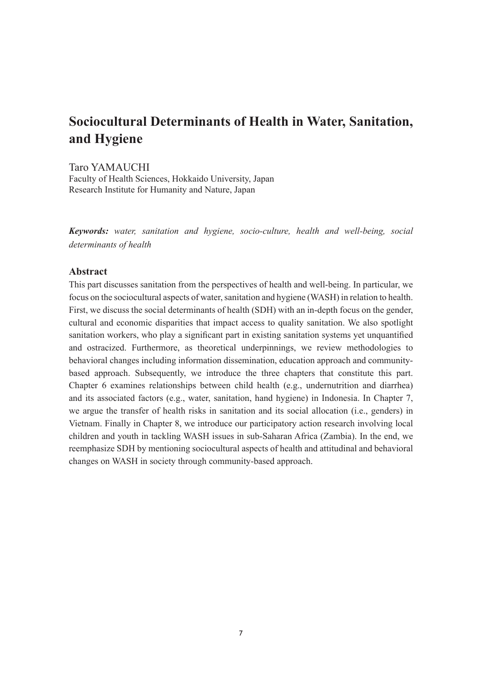# **Sociocultural Determinants of Health in Water, Sanitation, and Hygiene**

Taro YAMAUCHI Faculty of Health Sciences, Hokkaido University, Japan Research Institute for Humanity and Nature, Japan

*Keywords: water, sanitation and hygiene, socio-culture, health and well-being, social determinants of health*

#### **Abstract**

This part discusses sanitation from the perspectives of health and well-being. In particular, we focus on the sociocultural aspects of water, sanitation and hygiene (WASH) in relation to health. First, we discuss the social determinants of health (SDH) with an in-depth focus on the gender, cultural and economic disparities that impact access to quality sanitation. We also spotlight sanitation workers, who play a significant part in existing sanitation systems yet unquantified and ostracized. Furthermore, as theoretical underpinnings, we review methodologies to behavioral changes including information dissemination, education approach and communitybased approach. Subsequently, we introduce the three chapters that constitute this part. Chapter 6 examines relationships between child health (e.g., undernutrition and diarrhea) and its associated factors (e.g., water, sanitation, hand hygiene) in Indonesia. In Chapter 7, we argue the transfer of health risks in sanitation and its social allocation (i.e., genders) in Vietnam. Finally in Chapter 8, we introduce our participatory action research involving local children and youth in tackling WASH issues in sub-Saharan Africa (Zambia). In the end, we reemphasize SDH by mentioning sociocultural aspects of health and attitudinal and behavioral changes on WASH in society through community-based approach.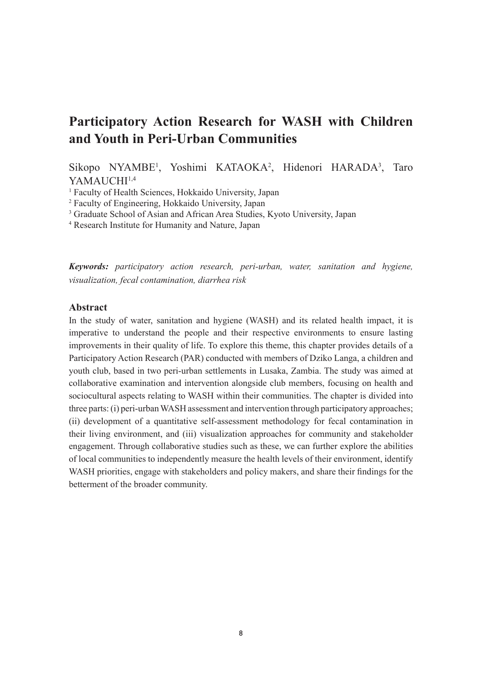# **Participatory Action Research for WASH with Children and Youth in Peri-Urban Communities**

Sikopo NYAMBE<sup>1</sup>, Yoshimi KATAOKA<sup>2</sup>, Hidenori HARADA<sup>3</sup>, Taro YAMAUCHI<sup>1,4</sup>

<sup>1</sup> Faculty of Health Sciences, Hokkaido University, Japan

2 Faculty of Engineering, Hokkaido University, Japan

<sup>3</sup> Graduate School of Asian and African Area Studies, Kyoto University, Japan

4 Research Institute for Humanity and Nature, Japan

*Keywords: participatory action research, peri-urban, water, sanitation and hygiene, visualization, fecal contamination, diarrhea risk*

#### **Abstract**

In the study of water, sanitation and hygiene (WASH) and its related health impact, it is imperative to understand the people and their respective environments to ensure lasting improvements in their quality of life. To explore this theme, this chapter provides details of a Participatory Action Research (PAR) conducted with members of Dziko Langa, a children and youth club, based in two peri-urban settlements in Lusaka, Zambia. The study was aimed at collaborative examination and intervention alongside club members, focusing on health and sociocultural aspects relating to WASH within their communities. The chapter is divided into three parts: (i) peri-urban WASH assessment and intervention through participatory approaches; (ii) development of a quantitative self-assessment methodology for fecal contamination in their living environment, and (iii) visualization approaches for community and stakeholder engagement. Through collaborative studies such as these, we can further explore the abilities of local communities to independently measure the health levels of their environment, identify WASH priorities, engage with stakeholders and policy makers, and share their findings for the betterment of the broader community.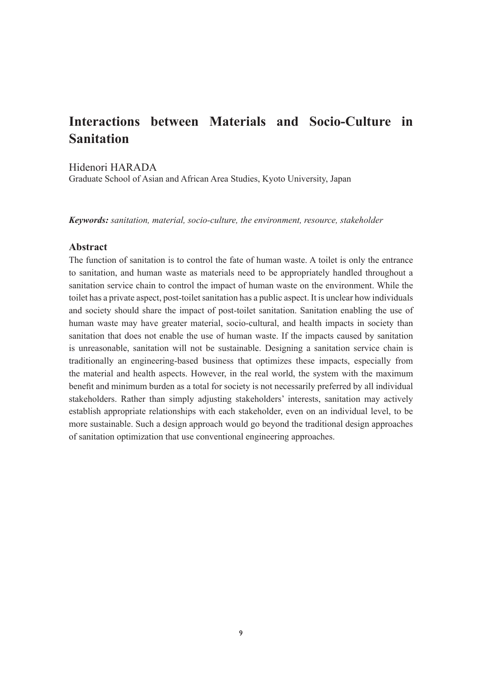# **Interactions between Materials and Socio-Culture in Sanitation**

Hidenori HARADA

Graduate School of Asian and African Area Studies, Kyoto University, Japan

*Keywords: sanitation, material, socio-culture, the environment, resource, stakeholder*

#### **Abstract**

The function of sanitation is to control the fate of human waste. A toilet is only the entrance to sanitation, and human waste as materials need to be appropriately handled throughout a sanitation service chain to control the impact of human waste on the environment. While the toilet has a private aspect, post-toilet sanitation has a public aspect. It is unclear how individuals and society should share the impact of post-toilet sanitation. Sanitation enabling the use of human waste may have greater material, socio-cultural, and health impacts in society than sanitation that does not enable the use of human waste. If the impacts caused by sanitation is unreasonable, sanitation will not be sustainable. Designing a sanitation service chain is traditionally an engineering-based business that optimizes these impacts, especially from the material and health aspects. However, in the real world, the system with the maximum benefit and minimum burden as a total for society is not necessarily preferred by all individual stakeholders. Rather than simply adjusting stakeholders' interests, sanitation may actively establish appropriate relationships with each stakeholder, even on an individual level, to be more sustainable. Such a design approach would go beyond the traditional design approaches of sanitation optimization that use conventional engineering approaches.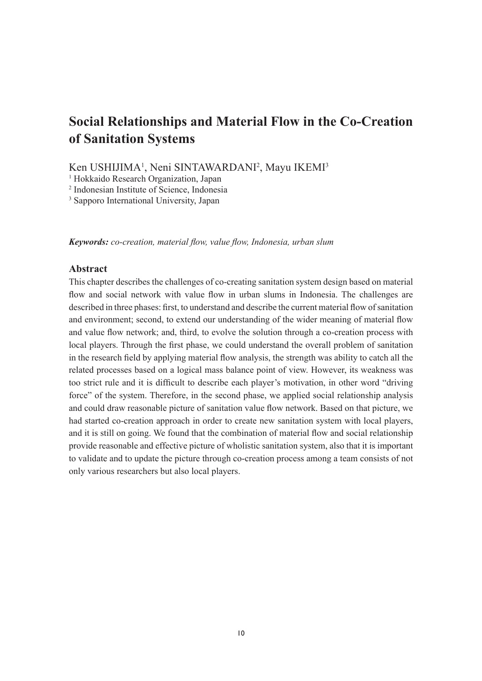# **Social Relationships and Material Flow in the Co-Creation of Sanitation Systems**

Ken USHIJIMA<sup>1</sup>, Neni SINTAWARDANI<sup>2</sup>, Mayu IKEMI<sup>3</sup>

<sup>1</sup> Hokkaido Research Organization, Japan

2 Indonesian Institute of Science, Indonesia

3 Sapporo International University, Japan

#### *Keywords: co-creation, material flow, value flow, Indonesia, urban slum*

#### **Abstract**

This chapter describes the challenges of co-creating sanitation system design based on material flow and social network with value flow in urban slums in Indonesia. The challenges are described in three phases: first, to understand and describe the current material flow of sanitation and environment; second, to extend our understanding of the wider meaning of material flow and value flow network; and, third, to evolve the solution through a co-creation process with local players. Through the first phase, we could understand the overall problem of sanitation in the research field by applying material flow analysis, the strength was ability to catch all the related processes based on a logical mass balance point of view. However, its weakness was too strict rule and it is difficult to describe each player's motivation, in other word "driving force" of the system. Therefore, in the second phase, we applied social relationship analysis and could draw reasonable picture of sanitation value flow network. Based on that picture, we had started co-creation approach in order to create new sanitation system with local players, and it is still on going. We found that the combination of material flow and social relationship provide reasonable and effective picture of wholistic sanitation system, also that it is important to validate and to update the picture through co-creation process among a team consists of not only various researchers but also local players.